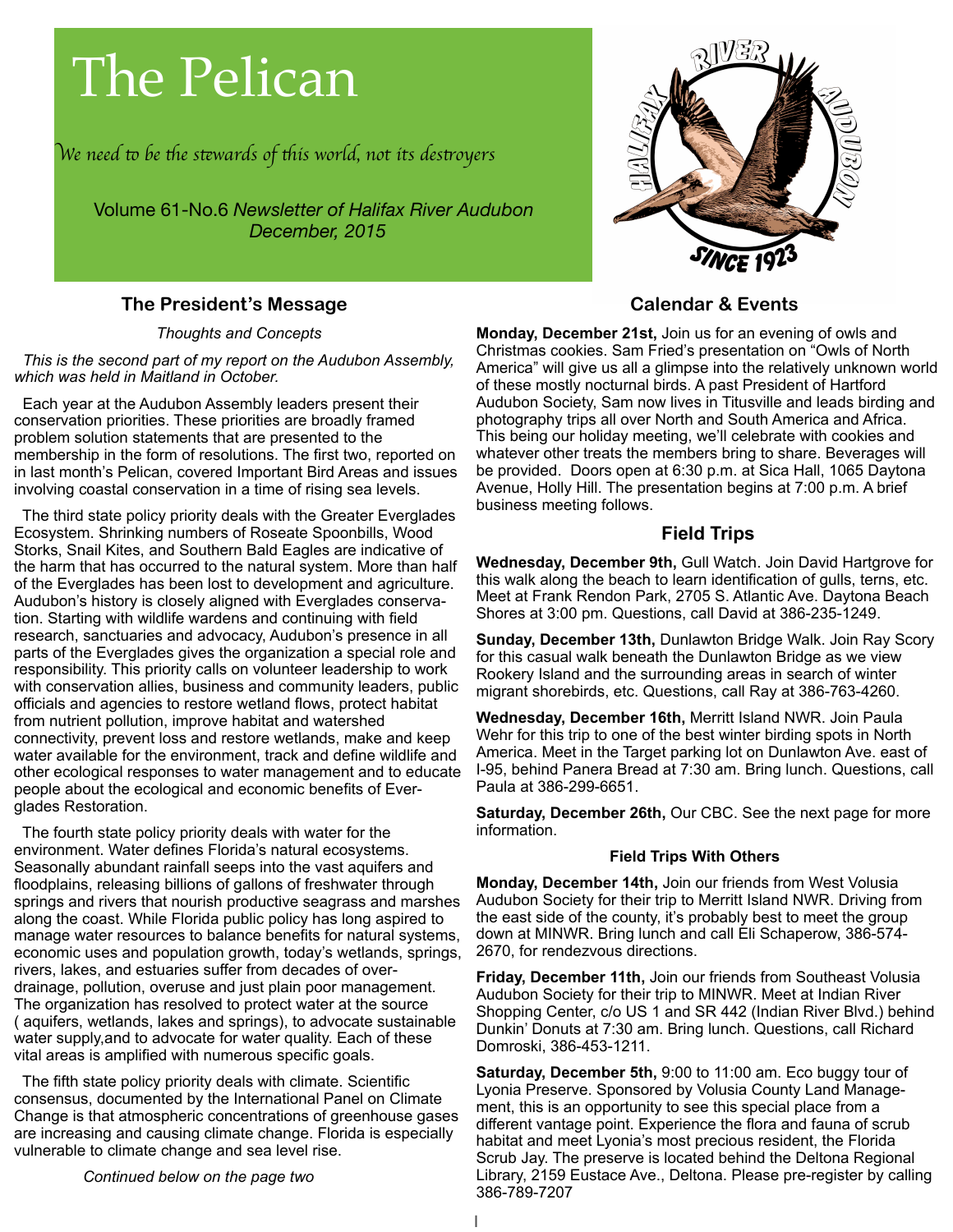# The Pelican

W*e need* " *be* #*e s*\$*wards of* #*is world, not its des*%*oyer*s

Volume 61-No.6 *Newsletter of Halifax River Audubon December, 2015*

# **The President's Message**

*Thoughts and Concepts*

 *This is the second part of my report on the Audubon Assembly, which was held in Maitland in October.*

 Each year at the Audubon Assembly leaders present their conservation priorities. These priorities are broadly framed problem solution statements that are presented to the membership in the form of resolutions. The first two, reported on in last month's Pelican, covered Important Bird Areas and issues involving coastal conservation in a time of rising sea levels.

 The third state policy priority deals with the Greater Everglades Ecosystem. Shrinking numbers of Roseate Spoonbills, Wood Storks, Snail Kites, and Southern Bald Eagles are indicative of the harm that has occurred to the natural system. More than half of the Everglades has been lost to development and agriculture. Audubon's history is closely aligned with Everglades conservation. Starting with wildlife wardens and continuing with field research, sanctuaries and advocacy, Audubon's presence in all parts of the Everglades gives the organization a special role and responsibility. This priority calls on volunteer leadership to work with conservation allies, business and community leaders, public officials and agencies to restore wetland flows, protect habitat from nutrient pollution, improve habitat and watershed connectivity, prevent loss and restore wetlands, make and keep water available for the environment, track and define wildlife and other ecological responses to water management and to educate people about the ecological and economic benefits of Everglades Restoration.

 The fourth state policy priority deals with water for the environment. Water defines Florida's natural ecosystems. Seasonally abundant rainfall seeps into the vast aquifers and floodplains, releasing billions of gallons of freshwater through springs and rivers that nourish productive seagrass and marshes along the coast. While Florida public policy has long aspired to manage water resources to balance benefits for natural systems, economic uses and population growth, today's wetlands, springs, rivers, lakes, and estuaries suffer from decades of overdrainage, pollution, overuse and just plain poor management. The organization has resolved to protect water at the source ( aquifers, wetlands, lakes and springs), to advocate sustainable water supply,and to advocate for water quality. Each of these vital areas is amplified with numerous specific goals.

 The fifth state policy priority deals with climate. Scientific consensus, documented by the International Panel on Climate Change is that atmospheric concentrations of greenhouse gases are increasing and causing climate change. Florida is especially vulnerable to climate change and sea level rise.

*Continued below on the page two*



# **Calendar & Events**

**Monday, December 21st,** Join us for an evening of owls and Christmas cookies. Sam Fried's presentation on "Owls of North America" will give us all a glimpse into the relatively unknown world of these mostly nocturnal birds. A past President of Hartford Audubon Society, Sam now lives in Titusville and leads birding and photography trips all over North and South America and Africa. This being our holiday meeting, we'll celebrate with cookies and whatever other treats the members bring to share. Beverages will be provided. Doors open at 6:30 p.m. at Sica Hall, 1065 Daytona Avenue, Holly Hill. The presentation begins at 7:00 p.m. A brief business meeting follows.

### **Field Trips**

**Wednesday, December 9th,** Gull Watch. Join David Hartgrove for this walk along the beach to learn identification of gulls, terns, etc. Meet at Frank Rendon Park, 2705 S. Atlantic Ave. Daytona Beach Shores at 3:00 pm. Questions, call David at 386-235-1249.

**Sunday, December 13th,** Dunlawton Bridge Walk. Join Ray Scory for this casual walk beneath the Dunlawton Bridge as we view Rookery Island and the surrounding areas in search of winter migrant shorebirds, etc. Questions, call Ray at 386-763-4260.

**Wednesday, December 16th,** Merritt Island NWR. Join Paula Wehr for this trip to one of the best winter birding spots in North America. Meet in the Target parking lot on Dunlawton Ave. east of I-95, behind Panera Bread at 7:30 am. Bring lunch. Questions, call Paula at 386-299-6651.

**Saturday, December 26th,** Our CBC. See the next page for more information.

#### **Field Trips With Others**

**Monday, December 14th,** Join our friends from West Volusia Audubon Society for their trip to Merritt Island NWR. Driving from the east side of the county, it's probably best to meet the group down at MINWR. Bring lunch and call Eli Schaperow, 386-574- 2670, for rendezvous directions.

**Friday, December 11th,** Join our friends from Southeast Volusia Audubon Society for their trip to MINWR. Meet at Indian River Shopping Center, c/o US 1 and SR 442 (Indian River Blvd.) behind Dunkin' Donuts at 7:30 am. Bring lunch. Questions, call Richard Domroski, 386-453-1211.

**Saturday, December 5th,** 9:00 to 11:00 am. Eco buggy tour of Lyonia Preserve. Sponsored by Volusia County Land Management, this is an opportunity to see this special place from a different vantage point. Experience the flora and fauna of scrub habitat and meet Lyonia's most precious resident, the Florida Scrub Jay. The preserve is located behind the Deltona Regional Library, 2159 Eustace Ave., Deltona. Please pre-register by calling 386-789-7207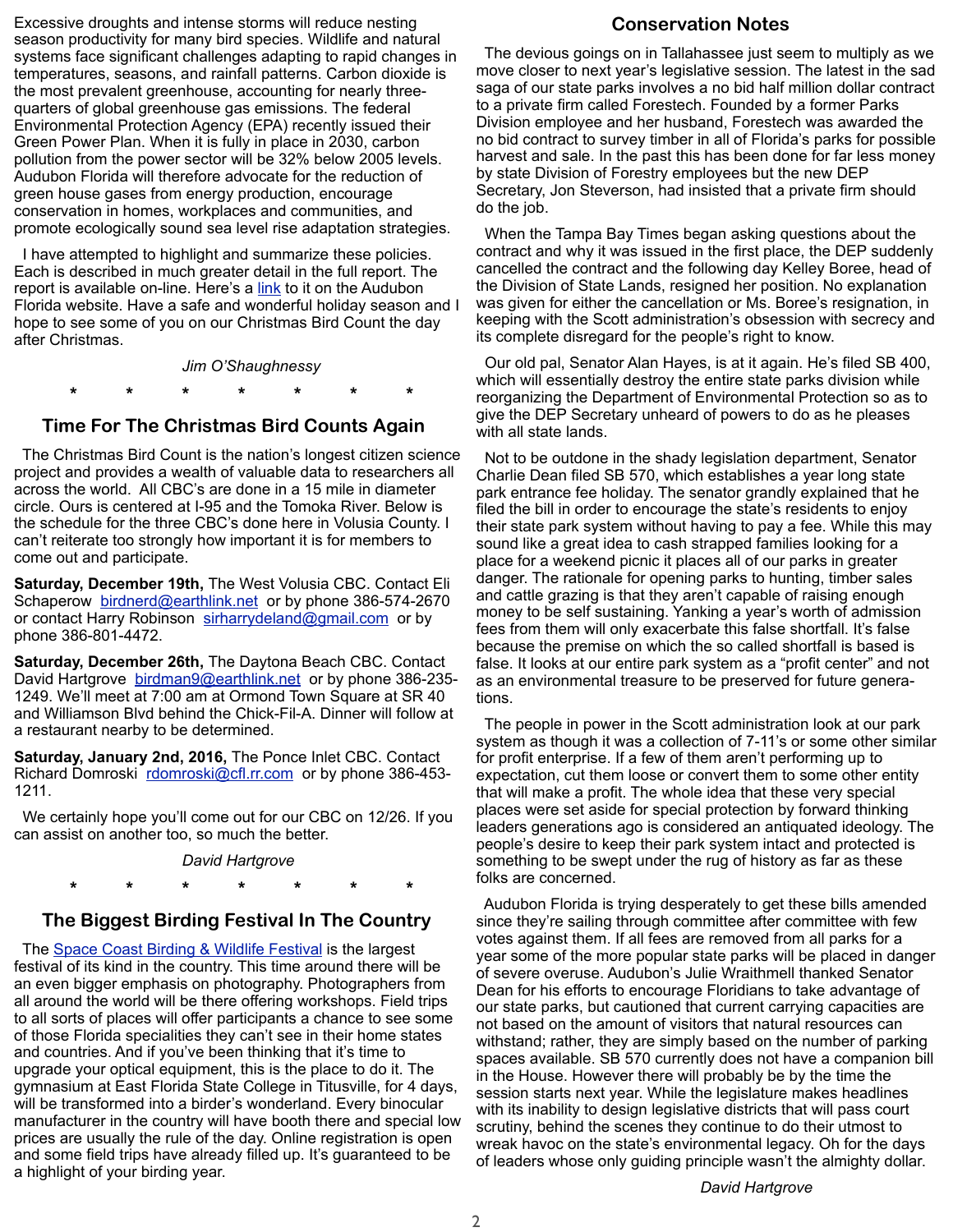Excessive droughts and intense storms will reduce nesting season productivity for many bird species. Wildlife and natural systems face significant challenges adapting to rapid changes in temperatures, seasons, and rainfall patterns. Carbon dioxide is the most prevalent greenhouse, accounting for nearly threequarters of global greenhouse gas emissions. The federal Environmental Protection Agency (EPA) recently issued their Green Power Plan. When it is fully in place in 2030, carbon pollution from the power sector will be 32% below 2005 levels. Audubon Florida will therefore advocate for the reduction of green house gases from energy production, encourage conservation in homes, workplaces and communities, and promote ecologically sound sea level rise adaptation strategies.

 I have attempted to highlight and summarize these policies. Each is described in much greater detail in the full report. The report is available on-line. Here's a [link](http://fl.audubon.org/sites/default/files/documents/audubon_conservationpriorities_2016_approved.pdf) to it on the Audubon Florida website. Have a safe and wonderful holiday season and I hope to see some of you on our Christmas Bird Count the day after Christmas.

*Jim O'Shaughnessy*

 **\* \* \* \* \* \* \***

#### **Time For The Christmas Bird Counts Again**

 The Christmas Bird Count is the nation's longest citizen science project and provides a wealth of valuable data to researchers all across the world. All CBC's are done in a 15 mile in diameter circle. Ours is centered at I-95 and the Tomoka River. Below is the schedule for the three CBC's done here in Volusia County. I can't reiterate too strongly how important it is for members to come out and participate.

**Saturday, December 19th,** The West Volusia CBC. Contact Eli Schaperow [birdnerd@earthlink.net](mailto:birdnerd@earthlink.net) or by phone 386-574-2670 or contact Harry Robinson [sirharrydeland@gmail.com](mailto:sirharrydeland@gmail.com) or by phone 386-801-4472.

**Saturday, December 26th,** The Daytona Beach CBC. Contact David Hartgrove [birdman9@earthlink.net](mailto:birdman9@earthlink.net) or by phone 386-235-1249. We'll meet at 7:00 am at Ormond Town Square at SR 40 and Williamson Blvd behind the Chick-Fil-A. Dinner will follow at a restaurant nearby to be determined.

**Saturday, January 2nd, 2016,** The Ponce Inlet CBC. Contact Richard Domroski [rdomroski@cfl.rr.com](mailto:rdomroski@cfl.rr.com) or by phone 386-453-1211.

 We certainly hope you'll come out for our CBC on 12/26. If you can assist on another too, so much the better.

#### *David Hartgrove*

 **\* \* \* \* \* \* \***

#### **The Biggest Birding Festival In The Country**

The **Space Coast Birding & Wildlife Festival** is the largest festival of its kind in the country. This time around there will be an even bigger emphasis on photography. Photographers from all around the world will be there offering workshops. Field trips to all sorts of places will offer participants a chance to see some of those Florida specialities they can't see in their home states and countries. And if you've been thinking that it's time to upgrade your optical equipment, this is the place to do it. The gymnasium at East Florida State College in Titusville, for 4 days, will be transformed into a birder's wonderland. Every binocular manufacturer in the country will have booth there and special low prices are usually the rule of the day. Online registration is open and some field trips have already filled up. It's guaranteed to be a highlight of your birding year.

#### **Conservation Notes**

 The devious goings on in Tallahassee just seem to multiply as we move closer to next year's legislative session. The latest in the sad saga of our state parks involves a no bid half million dollar contract to a private firm called Forestech. Founded by a former Parks Division employee and her husband, Forestech was awarded the no bid contract to survey timber in all of Florida's parks for possible harvest and sale. In the past this has been done for far less money by state Division of Forestry employees but the new DEP Secretary, Jon Steverson, had insisted that a private firm should do the job.

 When the Tampa Bay Times began asking questions about the contract and why it was issued in the first place, the DEP suddenly cancelled the contract and the following day Kelley Boree, head of the Division of State Lands, resigned her position. No explanation was given for either the cancellation or Ms. Boree's resignation, in keeping with the Scott administration's obsession with secrecy and its complete disregard for the people's right to know.

 Our old pal, Senator Alan Hayes, is at it again. He's filed SB 400, which will essentially destroy the entire state parks division while reorganizing the Department of Environmental Protection so as to give the DEP Secretary unheard of powers to do as he pleases with all state lands.

 Not to be outdone in the shady legislation department, Senator Charlie Dean filed SB 570, which establishes a year long state park entrance fee holiday. The senator grandly explained that he filed the bill in order to encourage the state's residents to enjoy their state park system without having to pay a fee. While this may sound like a great idea to cash strapped families looking for a place for a weekend picnic it places all of our parks in greater danger. The rationale for opening parks to hunting, timber sales and cattle grazing is that they aren't capable of raising enough money to be self sustaining. Yanking a year's worth of admission fees from them will only exacerbate this false shortfall. It's false because the premise on which the so called shortfall is based is false. It looks at our entire park system as a "profit center" and not as an environmental treasure to be preserved for future generations.

 The people in power in the Scott administration look at our park system as though it was a collection of 7-11's or some other similar for profit enterprise. If a few of them aren't performing up to expectation, cut them loose or convert them to some other entity that will make a profit. The whole idea that these very special places were set aside for special protection by forward thinking leaders generations ago is considered an antiquated ideology. The people's desire to keep their park system intact and protected is something to be swept under the rug of history as far as these folks are concerned.

 Audubon Florida is trying desperately to get these bills amended since they're sailing through committee after committee with few votes against them. If all fees are removed from all parks for a year some of the more popular state parks will be placed in danger of severe overuse. Audubon's Julie Wraithmell thanked Senator Dean for his efforts to encourage Floridians to take advantage of our state parks, but cautioned that current carrying capacities are not based on the amount of visitors that natural resources can withstand; rather, they are simply based on the number of parking spaces available. SB 570 currently does not have a companion bill in the House. However there will probably be by the time the session starts next year. While the legislature makes headlines with its inability to design legislative districts that will pass court scrutiny, behind the scenes they continue to do their utmost to wreak havoc on the state's environmental legacy. Oh for the days of leaders whose only guiding principle wasn't the almighty dollar.

*David Hartgrove*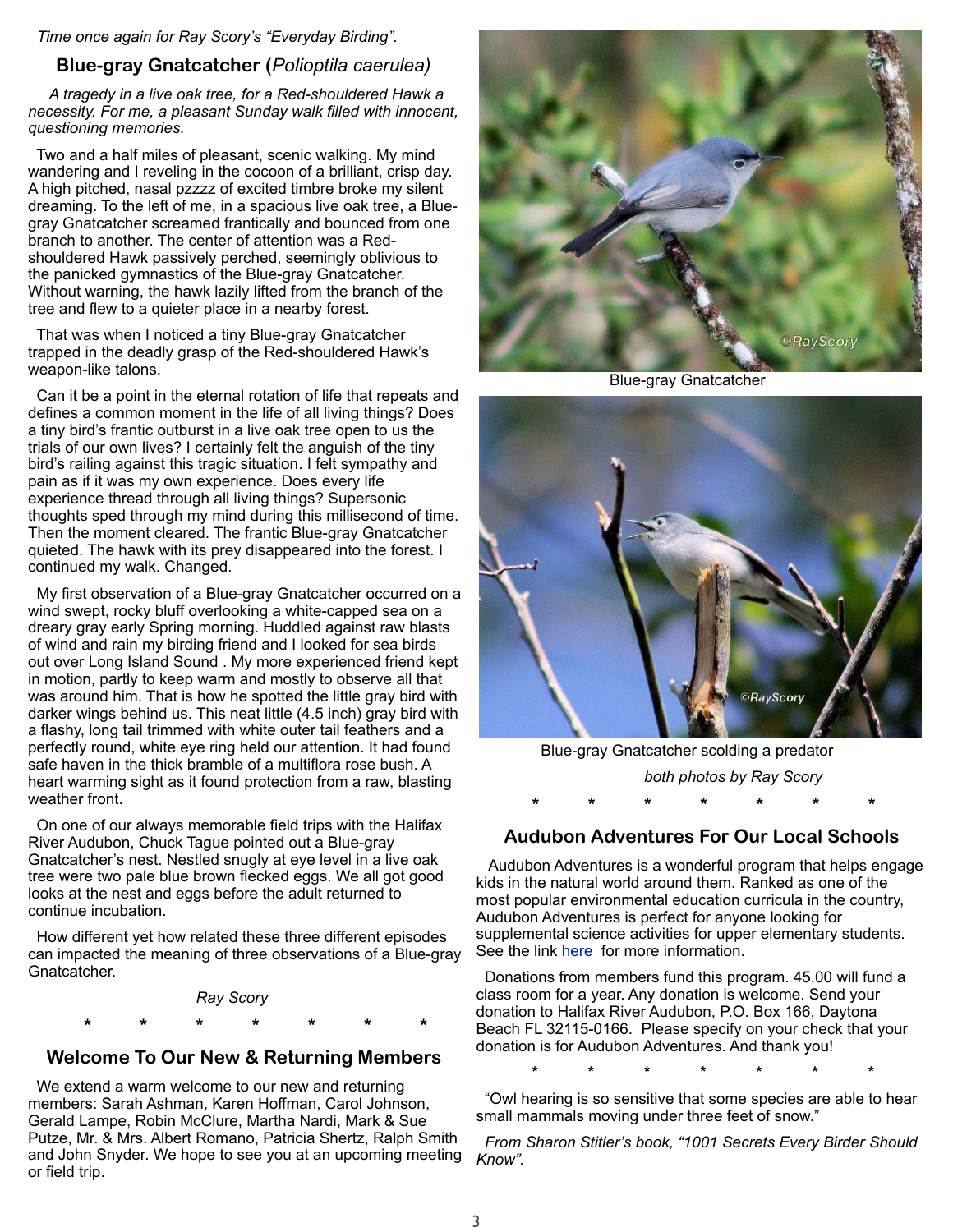#### *Time once again for Ray Scory's "Everyday Birding".*

#### **Blue-gray Gnatcatcher (***Polioptila caerulea)*

 *A tragedy in a live oak tree, for a Red-shouldered Hawk a necessity. For me, a pleasant Sunday walk filled with innocent, questioning memories.*

 Two and a half miles of pleasant, scenic walking. My mind wandering and I reveling in the cocoon of a brilliant, crisp day. A high pitched, nasal pzzzz of excited timbre broke my silent dreaming. To the left of me, in a spacious live oak tree, a Bluegray Gnatcatcher screamed frantically and bounced from one branch to another. The center of attention was a Redshouldered Hawk passively perched, seemingly oblivious to the panicked gymnastics of the Blue-gray Gnatcatcher. Without warning, the hawk lazily lifted from the branch of the tree and flew to a quieter place in a nearby forest.

 That was when I noticed a tiny Blue-gray Gnatcatcher trapped in the deadly grasp of the Red-shouldered Hawk's weapon-like talons.

 Can it be a point in the eternal rotation of life that repeats and defines a common moment in the life of all living things? Does a tiny bird's frantic outburst in a live oak tree open to us the trials of our own lives? I certainly felt the anguish of the tiny bird's railing against this tragic situation. I felt sympathy and pain as if it was my own experience. Does every life experience thread through all living things? Supersonic thoughts sped through my mind during this millisecond of time. Then the moment cleared. The frantic Blue-gray Gnatcatcher quieted. The hawk with its prey disappeared into the forest. I continued my walk. Changed.

 My first observation of a Blue-gray Gnatcatcher occurred on a wind swept, rocky bluff overlooking a white-capped sea on a dreary gray early Spring morning. Huddled against raw blasts of wind and rain my birding friend and I looked for sea birds out over Long Island Sound . My more experienced friend kept in motion, partly to keep warm and mostly to observe all that was around him. That is how he spotted the little gray bird with darker wings behind us. This neat little (4.5 inch) gray bird with a flashy, long tail trimmed with white outer tail feathers and a perfectly round, white eye ring held our attention. It had found safe haven in the thick bramble of a multiflora rose bush. A heart warming sight as it found protection from a raw, blasting weather front.

 On one of our always memorable field trips with the Halifax River Audubon, Chuck Tague pointed out a Blue-gray Gnatcatcher's nest. Nestled snugly at eye level in a live oak tree were two pale blue brown flecked eggs. We all got good looks at the nest and eggs before the adult returned to continue incubation.

 How different yet how related these three different episodes can impacted the meaning of three observations of a Blue-gray Gnatcatcher.

*Ray Scory*

 **\* \* \* \* \* \* \***

#### **Welcome To Our New & Returning Members**

 We extend a warm welcome to our new and returning members: Sarah Ashman, Karen Hoffman, Carol Johnson, Gerald Lampe, Robin McClure, Martha Nardi, Mark & Sue Putze, Mr. & Mrs. Albert Romano, Patricia Shertz, Ralph Smith and John Snyder. We hope to see you at an upcoming meeting or field trip.



Blue-gray Gnatcatcher



 Blue-gray Gnatcatcher scolding a predator *both photos by Ray Scory*  **\* \* \* \* \* \* \***

# **Audubon Adventures For Our Local Schools**

 Audubon Adventures is a wonderful program that helps engage kids in the natural world around them. Ranked as one of the most popular environmental education curricula in the country, Audubon Adventures is perfect for anyone looking for supplemental science activities for upper elementary students. See the link [here](https://www.audubon.org/conservation/audubon-adventures) for more information.

 Donations from members fund this program. 45.00 will fund a class room for a year. Any donation is welcome. Send your donation to Halifax River Audubon, P.O. Box 166, Daytona Beach FL 32115-0166. Please specify on your check that your donation is for Audubon Adventures. And thank you!

**\* \* \* \* \* \* \***

 "Owl hearing is so sensitive that some species are able to hear small mammals moving under three feet of snow."

 *From Sharon Stitler's book, "1001 Secrets Every Birder Should Know".*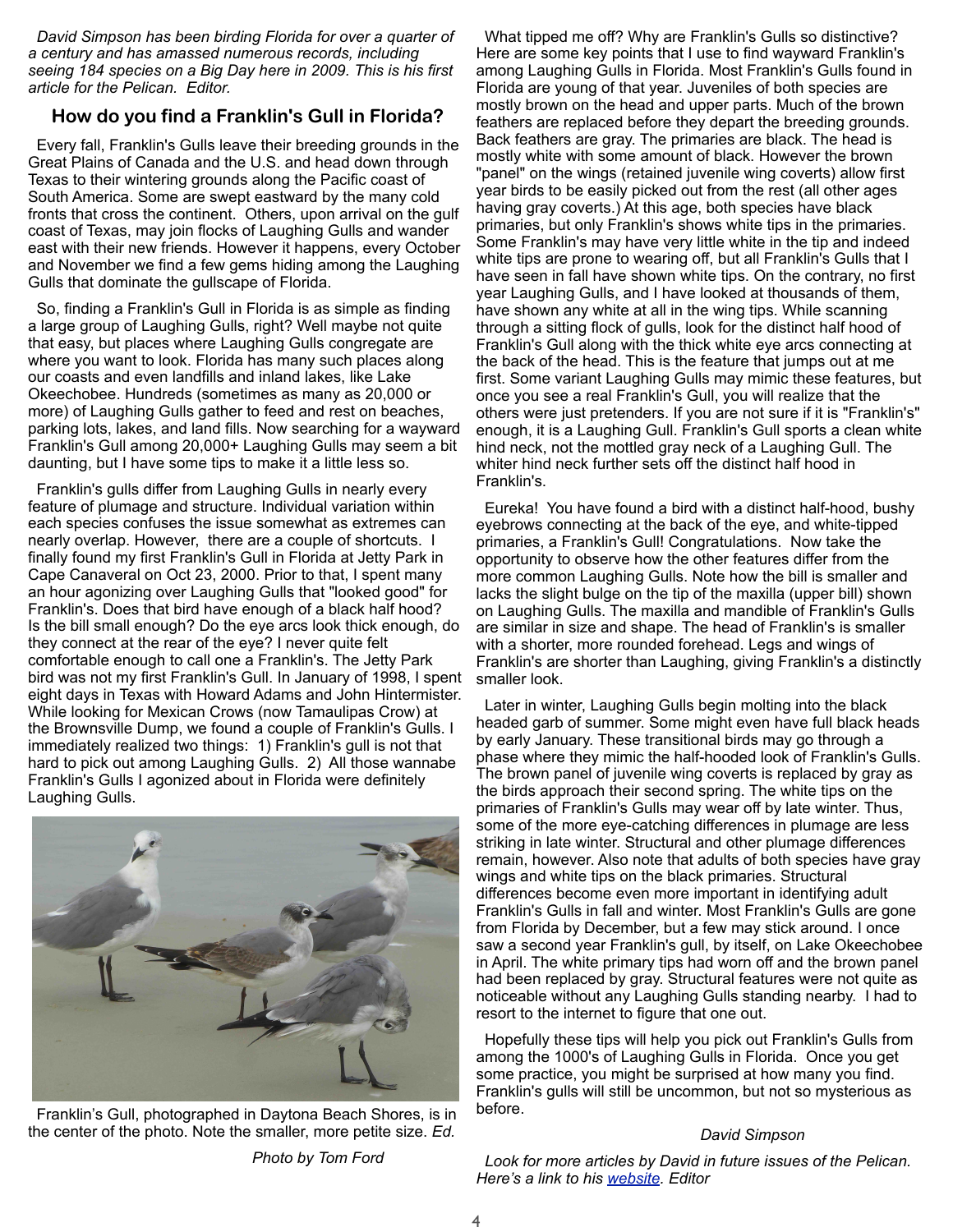*David Simpson has been birding Florida for over a quarter of a century and has amassed numerous records, including seeing 184 species on a Big Day here in 2009. This is his first article for the Pelican. Editor.* 

# **How do you find a Franklin's Gull in Florida?**

 Every fall, Franklin's Gulls leave their breeding grounds in the Great Plains of Canada and the U.S. and head down through Texas to their wintering grounds along the Pacific coast of South America. Some are swept eastward by the many cold fronts that cross the continent. Others, upon arrival on the gulf coast of Texas, may join flocks of Laughing Gulls and wander east with their new friends. However it happens, every October and November we find a few gems hiding among the Laughing Gulls that dominate the gullscape of Florida.

 So, finding a Franklin's Gull in Florida is as simple as finding a large group of Laughing Gulls, right? Well maybe not quite that easy, but places where Laughing Gulls congregate are where you want to look. Florida has many such places along our coasts and even landfills and inland lakes, like Lake Okeechobee. Hundreds (sometimes as many as 20,000 or more) of Laughing Gulls gather to feed and rest on beaches, parking lots, lakes, and land fills. Now searching for a wayward Franklin's Gull among 20,000+ Laughing Gulls may seem a bit daunting, but I have some tips to make it a little less so.

 Franklin's gulls differ from Laughing Gulls in nearly every feature of plumage and structure. Individual variation within each species confuses the issue somewhat as extremes can nearly overlap. However, there are a couple of shortcuts. I finally found my first Franklin's Gull in Florida at Jetty Park in Cape Canaveral on Oct 23, 2000. Prior to that, I spent many an hour agonizing over Laughing Gulls that "looked good" for Franklin's. Does that bird have enough of a black half hood? Is the bill small enough? Do the eye arcs look thick enough, do they connect at the rear of the eye? I never quite felt comfortable enough to call one a Franklin's. The Jetty Park bird was not my first Franklin's Gull. In January of 1998, I spent eight days in Texas with Howard Adams and John Hintermister. While looking for Mexican Crows (now Tamaulipas Crow) at the Brownsville Dump, we found a couple of Franklin's Gulls. I immediately realized two things: 1) Franklin's gull is not that hard to pick out among Laughing Gulls. 2) All those wannabe Franklin's Gulls I agonized about in Florida were definitely Laughing Gulls.



 Franklin's Gull, photographed in Daytona Beach Shores, is in the center of the photo. Note the smaller, more petite size. *Ed.*

 What tipped me off? Why are Franklin's Gulls so distinctive? Here are some key points that I use to find wayward Franklin's among Laughing Gulls in Florida. Most Franklin's Gulls found in Florida are young of that year. Juveniles of both species are mostly brown on the head and upper parts. Much of the brown feathers are replaced before they depart the breeding grounds. Back feathers are gray. The primaries are black. The head is mostly white with some amount of black. However the brown "panel" on the wings (retained juvenile wing coverts) allow first year birds to be easily picked out from the rest (all other ages having gray coverts.) At this age, both species have black primaries, but only Franklin's shows white tips in the primaries. Some Franklin's may have very little white in the tip and indeed white tips are prone to wearing off, but all Franklin's Gulls that I have seen in fall have shown white tips. On the contrary, no first year Laughing Gulls, and I have looked at thousands of them, have shown any white at all in the wing tips. While scanning through a sitting flock of gulls, look for the distinct half hood of Franklin's Gull along with the thick white eye arcs connecting at the back of the head. This is the feature that jumps out at me first. Some variant Laughing Gulls may mimic these features, but once you see a real Franklin's Gull, you will realize that the others were just pretenders. If you are not sure if it is "Franklin's" enough, it is a Laughing Gull. Franklin's Gull sports a clean white hind neck, not the mottled gray neck of a Laughing Gull. The whiter hind neck further sets off the distinct half hood in Franklin's.

 Eureka! You have found a bird with a distinct half-hood, bushy eyebrows connecting at the back of the eye, and white-tipped primaries, a Franklin's Gull! Congratulations. Now take the opportunity to observe how the other features differ from the more common Laughing Gulls. Note how the bill is smaller and lacks the slight bulge on the tip of the maxilla (upper bill) shown on Laughing Gulls. The maxilla and mandible of Franklin's Gulls are similar in size and shape. The head of Franklin's is smaller with a shorter, more rounded forehead. Legs and wings of Franklin's are shorter than Laughing, giving Franklin's a distinctly smaller look.

 Later in winter, Laughing Gulls begin molting into the black headed garb of summer. Some might even have full black heads by early January. These transitional birds may go through a phase where they mimic the half-hooded look of Franklin's Gulls. The brown panel of juvenile wing coverts is replaced by gray as the birds approach their second spring. The white tips on the primaries of Franklin's Gulls may wear off by late winter. Thus, some of the more eye-catching differences in plumage are less striking in late winter. Structural and other plumage differences remain, however. Also note that adults of both species have gray wings and white tips on the black primaries. Structural differences become even more important in identifying adult Franklin's Gulls in fall and winter. Most Franklin's Gulls are gone from Florida by December, but a few may stick around. I once saw a second year Franklin's gull, by itself, on Lake Okeechobee in April. The white primary tips had worn off and the brown panel had been replaced by gray. Structural features were not quite as noticeable without any Laughing Gulls standing nearby. I had to resort to the internet to figure that one out.

 Hopefully these tips will help you pick out Franklin's Gulls from among the 1000's of Laughing Gulls in Florida. Once you get some practice, you might be surprised at how many you find. Franklin's gulls will still be uncommon, but not so mysterious as before.

#### *David Simpson*

 *Look for more articles by David in future issues of the Pelican. Here's a link to his [website.](http://birdingwithdavidsimpson.blogspot.com/) Editor*

*Photo by Tom Ford*